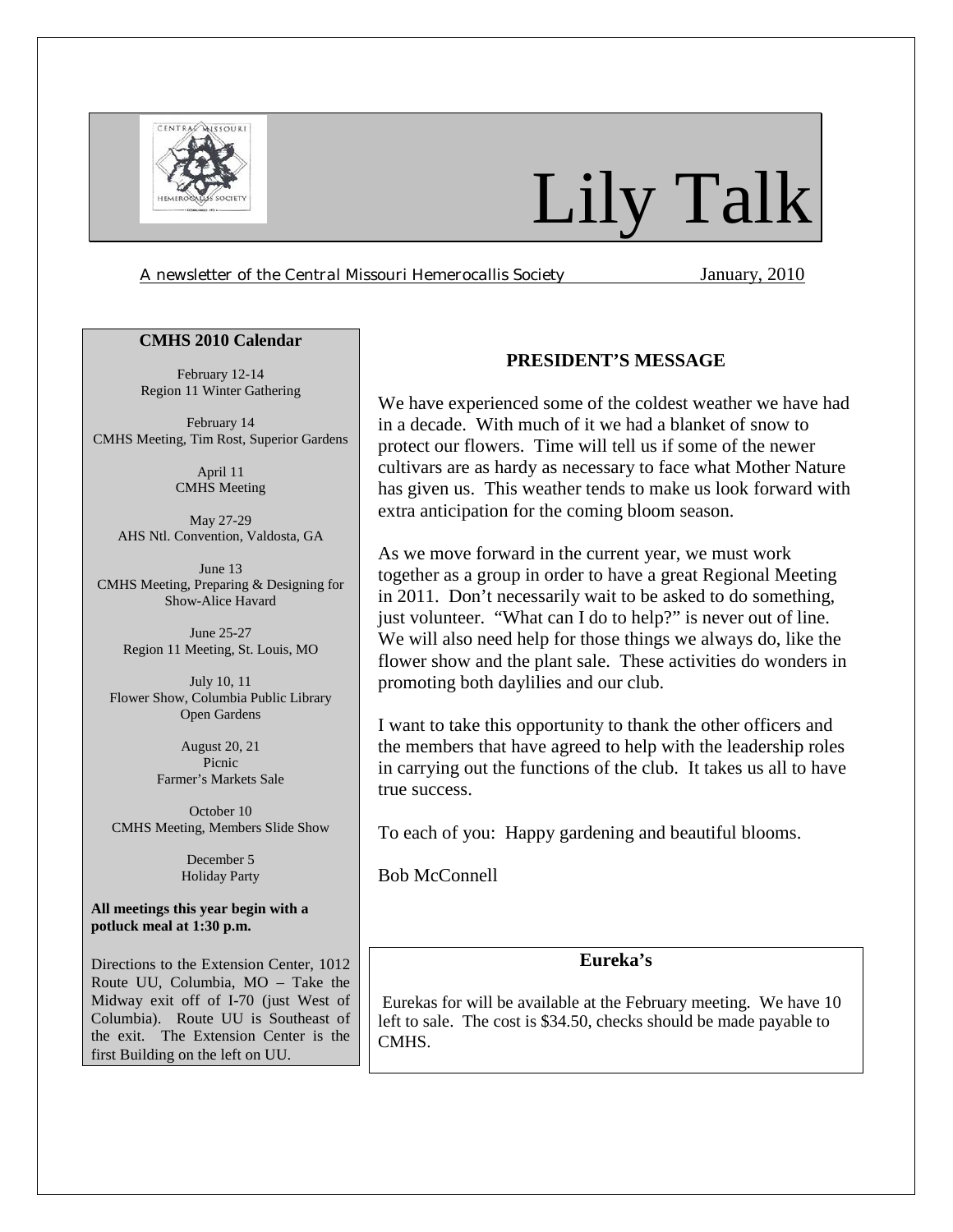

# Lily Talk

*A newsletter of the Central Missouri Hemerocallis Society* January, 2010

#### **CMHS 2010 Calendar**

February 12-14 Region 11 Winter Gathering

February 14 CMHS Meeting, Tim Rost, Superior Gardens

> April 11 CMHS Meeting

May 27-29 AHS Ntl. Convention, Valdosta, GA

June 13 CMHS Meeting, Preparing & Designing for Show-Alice Havard

> June 25-27 Region 11 Meeting, St. Louis, MO

July 10, 11 Flower Show, Columbia Public Library Open Gardens

> August 20, 21 Picnic Farmer's Markets Sale

October 10 CMHS Meeting, Members Slide Show

> December 5 Holiday Party

**All meetings this year begin with a potluck meal at 1:30 p.m.** 

Directions to the Extension Center, 1012 Route UU, Columbia, MO – Take the Midway exit off of I-70 (just West of Columbia). Route UU is Southeast of the exit. The Extension Center is the first Building on the left on UU.

## **PRESIDENT'S MESSAGE**

We have experienced some of the coldest weather we have had in a decade. With much of it we had a blanket of snow to protect our flowers. Time will tell us if some of the newer cultivars are as hardy as necessary to face what Mother Nature has given us. This weather tends to make us look forward with extra anticipation for the coming bloom season.

As we move forward in the current year, we must work together as a group in order to have a great Regional Meeting in 2011. Don't necessarily wait to be asked to do something, just volunteer. "What can I do to help?" is never out of line. We will also need help for those things we always do, like the flower show and the plant sale. These activities do wonders in promoting both daylilies and our club.

I want to take this opportunity to thank the other officers and the members that have agreed to help with the leadership roles in carrying out the functions of the club. It takes us all to have true success.

To each of you: Happy gardening and beautiful blooms.

Bob McConnell

## **Eureka's**

Eurekas for will be available at the February meeting. We have 10 left to sale. The cost is \$34.50, checks should be made payable to CMHS.